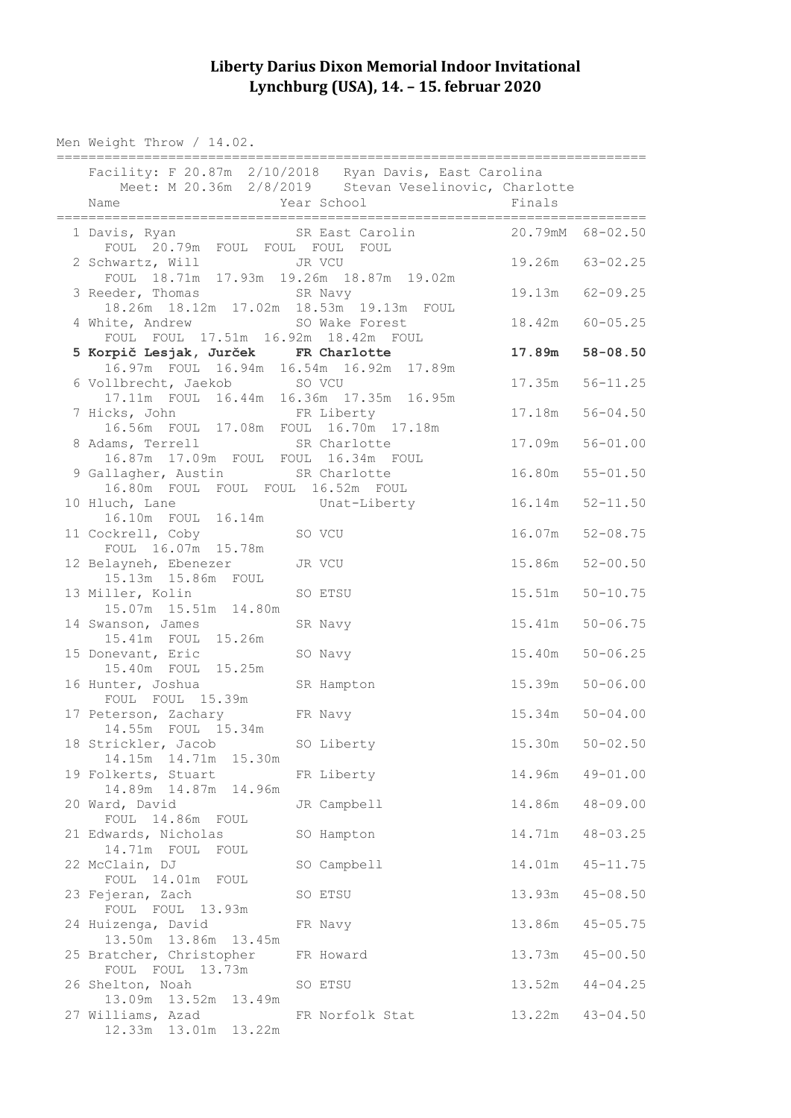## **Liberty Darius Dixon Memorial Indoor Invitational Lynchburg (USA), 14. – 15. februar 2020**

Men Weight Throw / 14.02.

| Facility: F 20.87m 2/10/2018 Ryan Davis, East Carolina                          |                                                          |                     |                  |  |
|---------------------------------------------------------------------------------|----------------------------------------------------------|---------------------|------------------|--|
|                                                                                 | Meet: M 20.36m 2/8/2019 Stevan Veselinovic, Charlotte    |                     |                  |  |
| Name                                                                            | Year School Finals                                       |                     |                  |  |
|                                                                                 |                                                          |                     |                  |  |
| 2 Schwartz, Will JR VCU<br>FOUL 18.71m 17.93m 19.26m 18.87m 19.02m              |                                                          | 19.26m 63-02.25     |                  |  |
| 3 Reeder, Thomas SR Navy<br>18.26m  18.12m  17.02m  18.53m  19.13m  FOUL        |                                                          |                     | 19.13m 62-09.25  |  |
| 4 White, Andrew SO Wake Forest<br>FOUL FOUL 17.51m 16.92m 18.42m FOUL           |                                                          |                     | 18.42m 60-05.25  |  |
| 5 Korpič Lesjak, Jurček FR Charlotte<br>16.97m FOUL 16.94m 16.54m 16.92m 17.89m |                                                          | 17.89m              | $58 - 08.50$     |  |
| 6 Vollbrecht, Jaekob SO VCU                                                     |                                                          | 17.35m              | $56 - 11.25$     |  |
| 17.11m FOUL 16.44m 16.36m 17.35m 16.95m<br>7 Hicks, John FR Liberty             |                                                          |                     | 17.18m  56-04.50 |  |
| 16.56m FOUL 17.08m FOUL 16.70m 17.18m<br>8 Adams, Terrell                       | SR Charlotte<br>16.87m  17.09m  FOUL  FOUL  16.34m  FOUL |                     | 17.09m 56-01.00  |  |
| 9 Gallagher, Austin SR Charlotte<br>16.80m FOUL FOUL FOUL 16.52m FOUL           |                                                          | 16.80m              | $55 - 01.50$     |  |
| 10 Hluch, Lane Unat-Liberty 16.14m<br>16.10m FOUL 16.14m                        |                                                          |                     | $52 - 11.50$     |  |
| 11 Cockrell, Coby SO VCU<br>FOUL 16.07m 15.78m                                  |                                                          | 16.07m              | $52 - 08.75$     |  |
| 12 Belayneh, Ebenezer<br>15.13m  15.86m  FOUL                                   | JR VCU                                                   | 15.86m              | $52 - 00.50$     |  |
| 13 Miller, Kolin<br>15.07m  15.51m  14.80m                                      | SO ETSU                                                  | 15.51m              | $50 - 10.75$     |  |
| 14 Swanson, James<br>15.41m  FOUL  15.26m                                       | SR Navy                                                  | 15.41m              | $50 - 06.75$     |  |
| 15 Donevant, Eric<br>15.40m FOUL 15.25m                                         | SO Navy                                                  | 15.40m              | $50 - 06.25$     |  |
| 16 Hunter, Joshua<br>FOUL FOUL 15.39m                                           | SR Hampton                                               | 15.39m              | $50 - 06.00$     |  |
| 17 Peterson, Zachary FR Navy<br>14.55m FOUL 15.34m                              |                                                          | $15.34m$ $50-04.00$ |                  |  |
| 18 Strickler, Jacob<br>14.15m  14.71m  15.30m                                   | SO Liberty                                               | $15.30m$ $50-02.50$ |                  |  |
| 19 Folkerts, Stuart<br>14.89m  14.87m  14.96m                                   | FR Liberty                                               | 14.96m              | $49 - 01.00$     |  |
| 20 Ward, David<br>FOUL 14.86m FOUL                                              | JR Campbell                                              | 14.86m              | $48 - 09.00$     |  |
| 21 Edwards, Nicholas<br>14.71m FOUL FOUL                                        | SO Hampton                                               | 14.71m              | $48 - 03.25$     |  |
| 22 McClain, DJ<br>FOUL 14.01m FOUL                                              | SO Campbell                                              | 14.01m              | $45 - 11.75$     |  |
| 23 Fejeran, Zach<br>FOUL FOUL 13.93m                                            | SO ETSU                                                  | 13.93m              | $45 - 08.50$     |  |
| 24 Huizenga, David                                                              | FR Navy                                                  | 13.86m              | $45 - 05.75$     |  |
| 13.50m  13.86m  13.45m<br>25 Bratcher, Christopher                              | FR Howard                                                | 13.73m              | $45 - 00.50$     |  |
| FOUL FOUL 13.73m<br>26 Shelton, Noah                                            | SO ETSU                                                  | 13.52m              | $44 - 04.25$     |  |
| 13.09m  13.52m  13.49m<br>27 Williams, Azad<br>12.33m  13.01m  13.22m           | FR Norfolk Stat                                          | 13.22m              | $43 - 04.50$     |  |